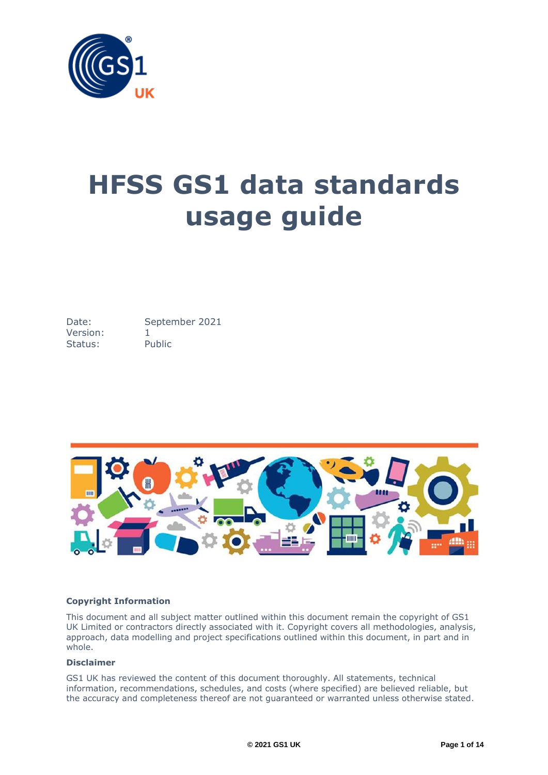

# **HFSS GS1 data standards usage guide**

Date: September 2021 Version: 1 Status: Public



## **Copyright Information**

This document and all subject matter outlined within this document remain the copyright of GS1 UK Limited or contractors directly associated with it. Copyright covers all methodologies, analysis, approach, data modelling and project specifications outlined within this document, in part and in whole.

## **Disclaimer**

GS1 UK has reviewed the content of this document thoroughly. All statements, technical information, recommendations, schedules, and costs (where specified) are believed reliable, but the accuracy and completeness thereof are not guaranteed or warranted unless otherwise stated.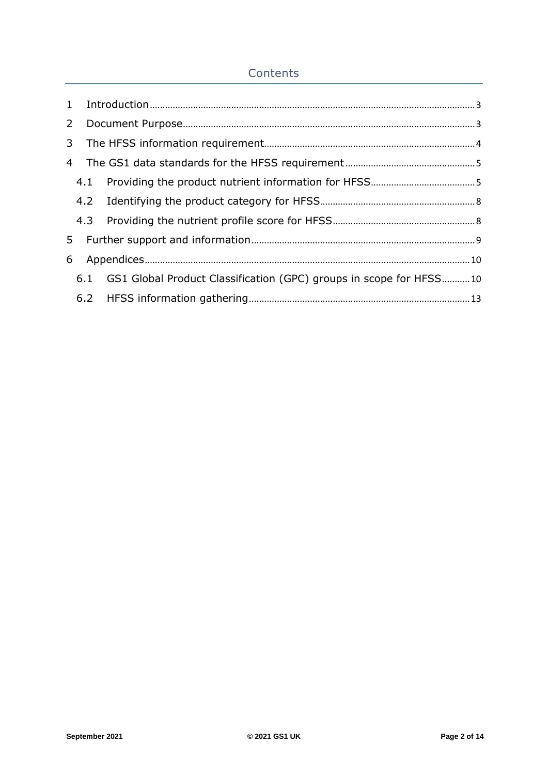# **Contents**

| $\overline{2}$ |                                                                        |  |
|----------------|------------------------------------------------------------------------|--|
| 3 <sup>1</sup> |                                                                        |  |
| 4              |                                                                        |  |
|                |                                                                        |  |
|                |                                                                        |  |
|                |                                                                        |  |
| 5              |                                                                        |  |
| 6              |                                                                        |  |
|                | 6.1 GS1 Global Product Classification (GPC) groups in scope for HFSS10 |  |
|                |                                                                        |  |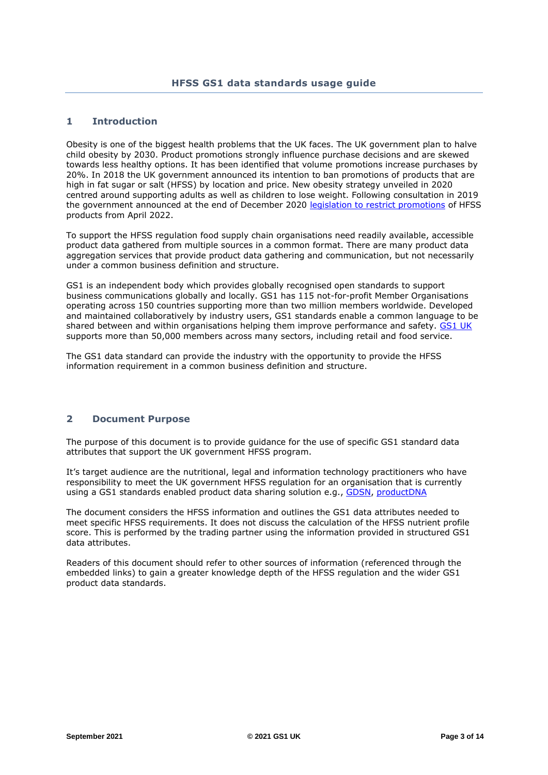## <span id="page-2-0"></span>**1 Introduction**

Obesity is one of the biggest health problems that the UK faces. The UK government plan to halve child obesity by 2030. Product promotions strongly influence purchase decisions and are skewed towards less healthy options. It has been identified that volume promotions increase purchases by 20%. In 2018 the UK government announced its intention to ban promotions of products that are high in fat sugar or salt (HFSS) by location and price. New obesity strategy unveiled in 2020 centred around supporting adults as well as children to lose weight. Following consultation in 2019 the government announced at the end of December 2020 [legislation to restrict promotions](https://www.gov.uk/government/consultations/restricting-promotions-of-food-and-drink-that-is-high-in-fat-sugar-and-salt/outcome/restricting-promotions-of-products-high-in-fat-sugar-and-salt-by-location-and-by-price-government-response-to-public-consultation) of HFSS products from April 2022.

To support the HFSS regulation food supply chain organisations need readily available, accessible product data gathered from multiple sources in a common format. There are many product data aggregation services that provide product data gathering and communication, but not necessarily under a common business definition and structure.

GS1 is an independent body which provides globally recognised open standards to support business communications globally and locally. GS1 has 115 not-for-profit Member Organisations operating across 150 countries supporting more than two million members worldwide. Developed and maintained collaboratively by industry users, GS1 standards enable a common language to be shared between and within organisations helping them improve performance and safety. [GS1 UK](https://www.gs1uk.org/) supports more than 50,000 members across many sectors, including retail and food service.

The GS1 data standard can provide the industry with the opportunity to provide the HFSS information requirement in a common business definition and structure.

## <span id="page-2-1"></span>**2 Document Purpose**

The purpose of this document is to provide guidance for the use of specific GS1 standard data attributes that support the UK government HFSS program.

It's target audience are the nutritional, legal and information technology practitioners who have responsibility to meet the UK government HFSS regulation for an organisation that is currently using a GS1 standards enabled product data sharing solution e.g., [GDSN,](https://www.gs1.org/services/gdsn) [productDNA](https://productdna.gs1uk.org/)

The document considers the HFSS information and outlines the GS1 data attributes needed to meet specific HFSS requirements. It does not discuss the calculation of the HFSS nutrient profile score. This is performed by the trading partner using the information provided in structured GS1 data attributes.

Readers of this document should refer to other sources of information (referenced through the embedded links) to gain a greater knowledge depth of the HFSS regulation and the wider GS1 product data standards.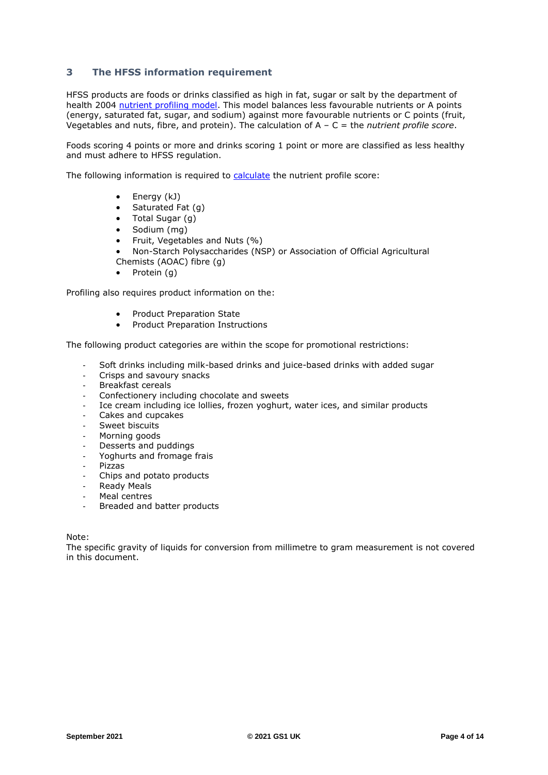## <span id="page-3-0"></span>**3 The HFSS information requirement**

HFSS products are foods or drinks classified as high in fat, sugar or salt by the department of health 2004 [nutrient profiling model.](https://www.gov.uk/government/publications/the-nutrient-profiling-model) This model balances less favourable nutrients or A points (energy, saturated fat, sugar, and sodium) against more favourable nutrients or C points (fruit, Vegetables and nuts, fibre, and protein). The calculation of A – C = the *nutrient profile score*.

Foods scoring 4 points or more and drinks scoring 1 point or more are classified as less healthy and must adhere to HFSS regulation.

The following information is required to [calculate](https://assets.publishing.service.gov.uk/government/uploads/system/uploads/attachment_data/file/216094/dh_123492.pdf) the nutrient profile score:

- Energy (kJ)
- Saturated Fat (g)
- Total Sugar (g)
- Sodium (mg)
- Fruit, Vegetables and Nuts (%)
- Non-Starch Polysaccharides (NSP) or Association of Official Agricultural Chemists (AOAC) fibre (g)
- Protein (q)

Profiling also requires product information on the:

- Product Preparation State
- Product Preparation Instructions

The following product categories are within the scope for promotional restrictions:

- Soft drinks including milk-based drinks and juice-based drinks with added sugar
- Crisps and savoury snacks
- Breakfast cereals
- Confectionery including chocolate and sweets
- Ice cream including ice lollies, frozen yoghurt, water ices, and similar products
- Cakes and cupcakes
- Sweet biscuits
- Morning goods
- Desserts and puddings
- Yoghurts and fromage frais
- Pizzas
- Chips and potato products
- **Ready Meals**
- Meal centres
- Breaded and batter products

Note:

The specific gravity of liquids for conversion from millimetre to gram measurement is not covered in this document.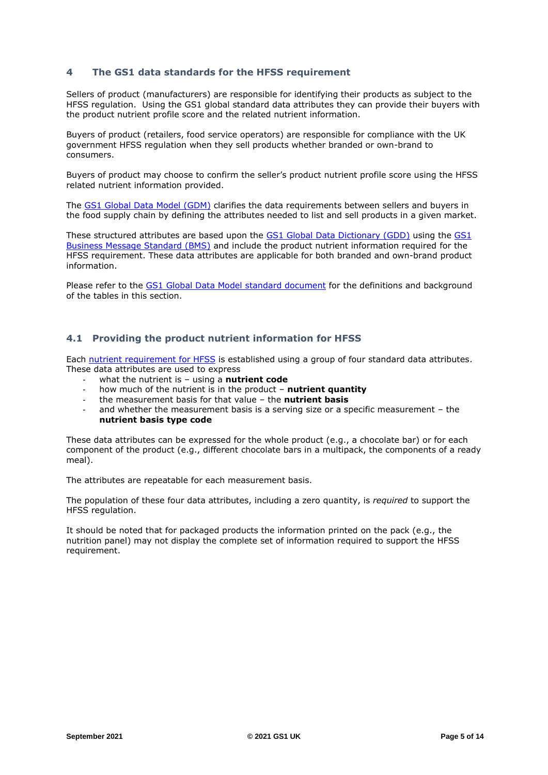## <span id="page-4-0"></span>**4 The GS1 data standards for the HFSS requirement**

Sellers of product (manufacturers) are responsible for identifying their products as subject to the HFSS regulation. Using the GS1 global standard data attributes they can provide their buyers with the product nutrient profile score and the related nutrient information.

Buyers of product (retailers, food service operators) are responsible for compliance with the UK government HFSS regulation when they sell products whether branded or own-brand to consumers.

Buyers of product may choose to confirm the seller's product nutrient profile score using the HFSS related nutrient information provided.

The [GS1 Global Data Model](https://www.gs1.org/standards/gs1-global-data-model) (GDM) clarifies the data requirements between sellers and buyers in the food supply chain by defining the attributes needed to list and sell products in a given market.

These structured attributes are based upon the [GS1 Global Data Dictionary \(GDD\)](http://apps.gs1.org/gdd/SitePages/Home.aspx) using the [GS1](https://www.gs1.org/docs/gdsn/3.1/BMS_GDSN_Trade_Item_Modules_r3p1p16_i1p25_April2021.pdf)  [Business Message Standard \(BMS\)](https://www.gs1.org/docs/gdsn/3.1/BMS_GDSN_Trade_Item_Modules_r3p1p16_i1p25_April2021.pdf) and include the product nutrient information required for the HFSS requirement. These data attributes are applicable for both branded and own-brand product information.

Please refer to the [GS1 Global Data Model](https://www.gs1.org/docs/global-data-model/gs1_global_data_model_release_1.3.1.xlsx) standard document for the definitions and background of the tables in this section.

## <span id="page-4-1"></span>**4.1 Providing the product nutrient information for HFSS**

Each [nutrient requirement](#page-3-0) for HFSS is established using a group of four standard data attributes. These data attributes are used to express

- what the nutrient is using a **nutrient code**
- how much of the nutrient is in the product **nutrient quantity**
- the measurement basis for that value the **nutrient basis**
- and whether the measurement basis is a serving size or a specific measurement the **nutrient basis type code**

These data attributes can be expressed for the whole product (e.g., a chocolate bar) or for each component of the product (e.g., different chocolate bars in a multipack, the components of a ready meal).

The attributes are repeatable for each measurement basis.

The population of these four data attributes, including a zero quantity, is *required* to support the HFSS regulation.

It should be noted that for packaged products the information printed on the pack (e.g., the nutrition panel) may not display the complete set of information required to support the HFSS requirement.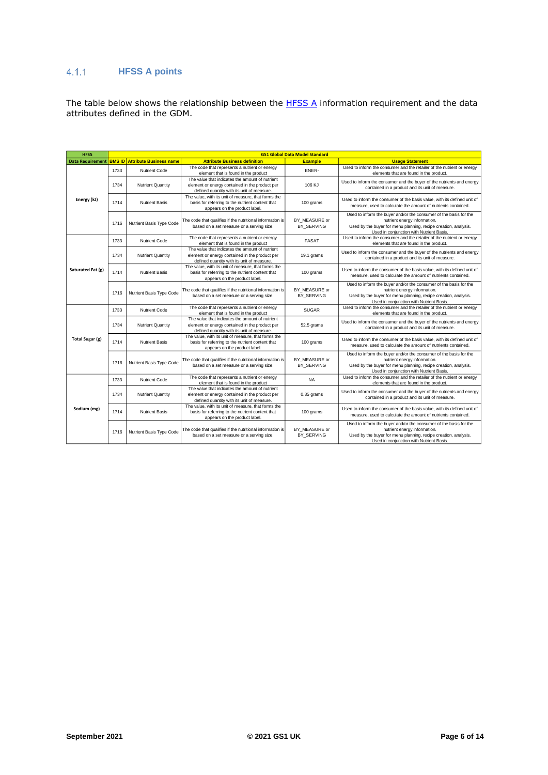## **HFSS A points**

The table below shows the relationship between the [HFSS A](#page-3-0) information requirement and the data attributes defined in the GDM.

| <b>HFSS</b>             | <b>GS1 Global Data Model Standard</b> |                                |                                                                                                                                                 |                             |                                                                                                                                                                                                                  |
|-------------------------|---------------------------------------|--------------------------------|-------------------------------------------------------------------------------------------------------------------------------------------------|-----------------------------|------------------------------------------------------------------------------------------------------------------------------------------------------------------------------------------------------------------|
| <b>Data Requirement</b> | <b>BMS ID</b>                         | <b>Attribute Business name</b> | <b>Attribute Business definition</b>                                                                                                            | <b>Example</b>              | <b>Usage Statement</b>                                                                                                                                                                                           |
|                         | 1733                                  | <b>Nutrient Code</b>           | The code that represents a nutrient or energy<br>element that is found in the product                                                           | ENER-                       | Used to inform the consumer and the retailer of the nutrient or energy<br>elements that are found in the product.                                                                                                |
|                         | 1734                                  | <b>Nutrient Quantity</b>       | The value that indicates the amount of nutrient<br>element or energy contained in the product per<br>defined quantity with its unit of measure. | 106 KJ                      | Used to inform the consumer and the buyer of the nutrients and energy<br>contained in a product and its unit of measure.                                                                                         |
| Energy (kJ)             | 1714                                  | <b>Nutrient Basis</b>          | The value, with its unit of measure, that forms the<br>basis for referring to the nutrient content that<br>appears on the product label.        | 100 grams                   | Used to inform the consumer of the basis value, with its defined unit of<br>measure, used to calculate the amount of nutrients contained.                                                                        |
|                         | 1716                                  | Nutrient Basis Type Code       | The code that qualifies if the nutritional information is<br>based on a set measure or a serving size.                                          | BY MEASURE or<br>BY SERVING | Used to inform the buyer and/or the consumer of the basis for the<br>nutrient energy information.<br>Used by the buyer for menu planning, recipe creation, analysis.<br>Used in conjunction with Nutrient Basis. |
|                         | 1733                                  | Nutrient Code                  | The code that represents a nutrient or energy<br>element that is found in the product                                                           | <b>FASAT</b>                | Used to inform the consumer and the retailer of the nutrient or energy<br>elements that are found in the product.                                                                                                |
|                         | 1734                                  | <b>Nutrient Quantity</b>       | The value that indicates the amount of nutrient<br>element or energy contained in the product per<br>defined quantity with its unit of measure. | 19.1 grams                  | Used to inform the consumer and the buyer of the nutrients and energy<br>contained in a product and its unit of measure.                                                                                         |
| Saturated Fat (g)       | 1714                                  | <b>Nutrient Basis</b>          | The value, with its unit of measure, that forms the<br>basis for referring to the nutrient content that<br>appears on the product label.        | 100 grams                   | Used to inform the consumer of the basis value, with its defined unit of<br>measure, used to calculate the amount of nutrients contained.                                                                        |
|                         | 1716                                  | Nutrient Basis Type Code       | The code that qualifies if the nutritional information is<br>based on a set measure or a serving size.                                          | BY MEASURE or<br>BY SERVING | Used to inform the buyer and/or the consumer of the basis for the<br>nutrient energy information.<br>Used by the buyer for menu planning, recipe creation, analysis.<br>Used in conjunction with Nutrient Basis. |
|                         | 1733                                  | Nutrient Code                  | The code that represents a nutrient or energy<br>element that is found in the product                                                           | <b>SUGAR</b>                | Used to inform the consumer and the retailer of the nutrient or energy<br>elements that are found in the product.                                                                                                |
|                         | 1734                                  | <b>Nutrient Quantity</b>       | The value that indicates the amount of nutrient<br>element or energy contained in the product per<br>defined quantity with its unit of measure. | 52.5 grams                  | Used to inform the consumer and the buyer of the nutrients and energy<br>contained in a product and its unit of measure.                                                                                         |
| Total Sugar (g)         | 1714                                  | <b>Nutrient Basis</b>          | The value, with its unit of measure, that forms the<br>basis for referring to the nutrient content that<br>appears on the product label.        | 100 grams                   | Used to inform the consumer of the basis value, with its defined unit of<br>measure, used to calculate the amount of nutrients contained.                                                                        |
|                         | 1716                                  | Nutrient Basis Type Code       | The code that qualifies if the nutritional information is<br>based on a set measure or a serving size.                                          | BY MEASURE or<br>BY SERVING | Used to inform the buyer and/or the consumer of the basis for the<br>nutrient energy information.<br>Used by the buyer for menu planning, recipe creation, analysis.<br>Used in conjunction with Nutrient Basis. |
|                         | 1733                                  | Nutrient Code                  | The code that represents a nutrient or energy<br>element that is found in the product                                                           | <b>NA</b>                   | Used to inform the consumer and the retailer of the nutrient or energy<br>elements that are found in the product.                                                                                                |
|                         | 1734                                  | <b>Nutrient Quantity</b>       | The value that indicates the amount of nutrient<br>element or energy contained in the product per<br>defined quantity with its unit of measure. | 0.35 grams                  | Used to inform the consumer and the buyer of the nutrients and energy<br>contained in a product and its unit of measure.                                                                                         |
| Sodium (mg)             | 1714                                  | <b>Nutrient Basis</b>          | The value, with its unit of measure, that forms the<br>basis for referring to the nutrient content that<br>appears on the product label.        | 100 grams                   | Used to inform the consumer of the basis value, with its defined unit of<br>measure, used to calculate the amount of nutrients contained.                                                                        |
|                         | 1716                                  | Nutrient Basis Type Code       | The code that qualifies if the nutritional information is<br>based on a set measure or a serving size.                                          | BY MEASURE or<br>BY SERVING | Used to inform the buyer and/or the consumer of the basis for the<br>nutrient energy information.<br>Used by the buyer for menu planning, recipe creation, analysis.<br>Used in conjunction with Nutrient Basis. |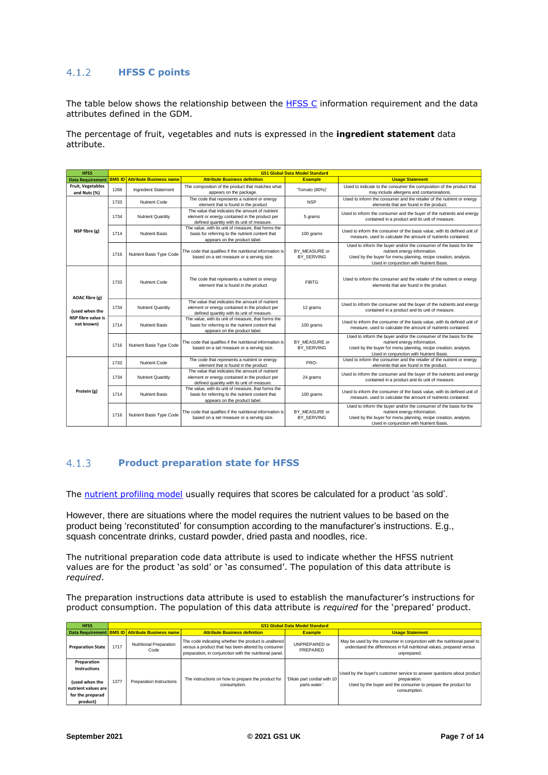#### $4.1.2$ **HFSS C points**

The table below shows the relationship between the  $HFSSC$  information requirement and the data attributes defined in the GDM.

The percentage of fruit, vegetables and nuts is expressed in the **ingredient statement** data attribute.

| <b>HFSS</b>                              | <b>GS1 Global Data Model Standard</b> |                                       |                                                                                                                                                 |                                    |                                                                                                                                                                                                                  |
|------------------------------------------|---------------------------------------|---------------------------------------|-------------------------------------------------------------------------------------------------------------------------------------------------|------------------------------------|------------------------------------------------------------------------------------------------------------------------------------------------------------------------------------------------------------------|
| <b>Data Requirement</b>                  |                                       | <b>BMS ID</b> Attribute Business name | <b>Attribute Business definition</b>                                                                                                            | <b>Example</b>                     | <b>Usage Statement</b>                                                                                                                                                                                           |
| <b>Fruit, Vegetables</b><br>and Nuts (%) | 1268                                  | Ingredient Statement                  | The composition of the product that matches what<br>appears on the package.                                                                     | 'Tomato (80%)'                     | Used to indicate to the consumer the composition of the product that<br>may include allergens and contaminations.                                                                                                |
|                                          | 1733                                  | Nutrient Code                         | The code that represents a nutrient or energy<br>element that is found in the product                                                           | <b>NSP</b>                         | Used to inform the consumer and the retailer of the nutrient or energy<br>elements that are found in the product.                                                                                                |
|                                          | 1734                                  | <b>Nutrient Quantity</b>              | The value that indicates the amount of nutrient<br>element or energy contained in the product per<br>defined quantity with its unit of measure. | 5 grams                            | Used to inform the consumer and the buyer of the nutrients and energy<br>contained in a product and its unit of measure.                                                                                         |
| NSP fibre (g)                            | 1714                                  | <b>Nutrient Basis</b>                 | The value, with its unit of measure, that forms the<br>basis for referring to the nutrient content that<br>appears on the product label.        | 100 grams                          | Used to inform the consumer of the basis value, with its defined unit of<br>measure, used to calculate the amount of nutrients contained.                                                                        |
|                                          | 1716                                  | Nutrient Basis Type Code              | The code that qualifies if the nutritional information is<br>based on a set measure or a serving size.                                          | BY MEASURE or<br>BY SERVING        | Used to inform the buyer and/or the consumer of the basis for the<br>nutrient energy information.<br>Used by the buyer for menu planning, recipe creation, analysis.<br>Used in conjunction with Nutrient Basis. |
|                                          | 1733                                  | Nutrient Code                         | The code that represents a nutrient or energy<br>element that is found in the product                                                           | <b>FIBTG</b>                       | Used to inform the consumer and the retailer of the nutrient or energy<br>elements that are found in the product.                                                                                                |
| <b>AOAC</b> fibre (g)<br>(used when the  | 1734                                  | <b>Nutrient Quantity</b>              | The value that indicates the amount of nutrient<br>element or energy contained in the product per<br>defined quantity with its unit of measure. | 12 grams                           | Used to inform the consumer and the buyer of the nutrients and energy<br>contained in a product and its unit of measure.                                                                                         |
| NSP fibre value is<br>not known)         | 1714                                  | <b>Nutrient Basis</b>                 | The value, with its unit of measure, that forms the<br>basis for referring to the nutrient content that<br>appears on the product label.        | 100 grams                          | Used to inform the consumer of the basis value, with its defined unit of<br>measure, used to calculate the amount of nutrients contained.                                                                        |
|                                          | 1716                                  | Nutrient Basis Type Code              | The code that qualifies if the nutritional information is<br>based on a set measure or a serving size.                                          | BY MEASURE or<br><b>BY SERVING</b> | Used to inform the buyer and/or the consumer of the basis for the<br>nutrient energy information.<br>Used by the buyer for menu planning, recipe creation, analysis.<br>Used in conjunction with Nutrient Basis. |
|                                          | 1733                                  | Nutrient Code                         | The code that represents a nutrient or energy<br>element that is found in the product                                                           | PRO-                               | Used to inform the consumer and the retailer of the nutrient or energy<br>elements that are found in the product.                                                                                                |
|                                          | 1734                                  | <b>Nutrient Quantity</b>              | The value that indicates the amount of nutrient<br>element or energy contained in the product per<br>defined quantity with its unit of measure. | 24 grams                           | Used to inform the consumer and the buyer of the nutrients and energy<br>contained in a product and its unit of measure.                                                                                         |
| Protein (g)                              | 1714                                  | <b>Nutrient Basis</b>                 | The value, with its unit of measure, that forms the<br>basis for referring to the nutrient content that<br>appears on the product label.        | 100 grams                          | Used to inform the consumer of the basis value, with its defined unit of<br>measure, used to calculate the amount of nutrients contained.                                                                        |
|                                          | 1716                                  | Nutrient Basis Type Code              | The code that qualifies if the nutritional information is<br>based on a set measure or a serving size.                                          | BY MEASURE or<br>BY SERVING        | Used to inform the buyer and/or the consumer of the basis for the<br>nutrient energy information.<br>Used by the buyer for menu planning, recipe creation, analysis.<br>Used in conjunction with Nutrient Basis. |

#### $4.1.3$ **Product preparation state for HFSS**

The [nutrient profiling model](https://www.gov.uk/government/publications/the-nutrient-profiling-model) usually requires that scores be calculated for a product 'as sold'.

However, there are situations where the model requires the nutrient values to be based on the product being 'reconstituted' for consumption according to the manufacturer's instructions. E.g., squash concentrate drinks, custard powder, dried pasta and noodles, rice.

The nutritional preparation code data attribute is used to indicate whether the HFSS nutrient values are for the product 'as sold' or 'as consumed'. The population of this data attribute is *required*.

The preparation instructions data attribute is used to establish the manufacturer's instructions for product consumption. The population of this data attribute is *required* for the 'prepared' product.

| <b>HFSS</b>                                                                                          |      | <b>GS1 Global Data Model Standard</b>           |                                                                                                                                                                       |                                               |                                                                                                                                                                         |
|------------------------------------------------------------------------------------------------------|------|-------------------------------------------------|-----------------------------------------------------------------------------------------------------------------------------------------------------------------------|-----------------------------------------------|-------------------------------------------------------------------------------------------------------------------------------------------------------------------------|
|                                                                                                      |      | Data Requirement BMS ID Attribute Business name | <b>Attribute Business definition</b>                                                                                                                                  | <b>Example</b>                                | <b>Usage Statement</b>                                                                                                                                                  |
| <b>Preparation State</b>                                                                             | 1717 | Nutritional Preparation<br>Code                 | The code indicating whether the product is unaltered<br>versus a product that has been altered by consumer<br>preparation, in conjunction with the nutritional panel. | UNPREPARED or<br>PREPARED                     | May be used by the consumer in conjunction with the nutritional panel to<br>understand the differences in full nutritional values, prepared versus<br>unprepared.       |
| Preparation<br>Instructions<br>(used when the<br>nutrient values are<br>for the preparad<br>product) | 1377 | Preparation Instructions                        | The instructions on how to prepare the product for<br>consumption.                                                                                                    | 'Dilute part cordial with 10<br>parts water." | Used by the buyer's customer service to answer questions about product<br>preparation.<br>Used by the buyer and the consumer to prepare the product for<br>consumption. |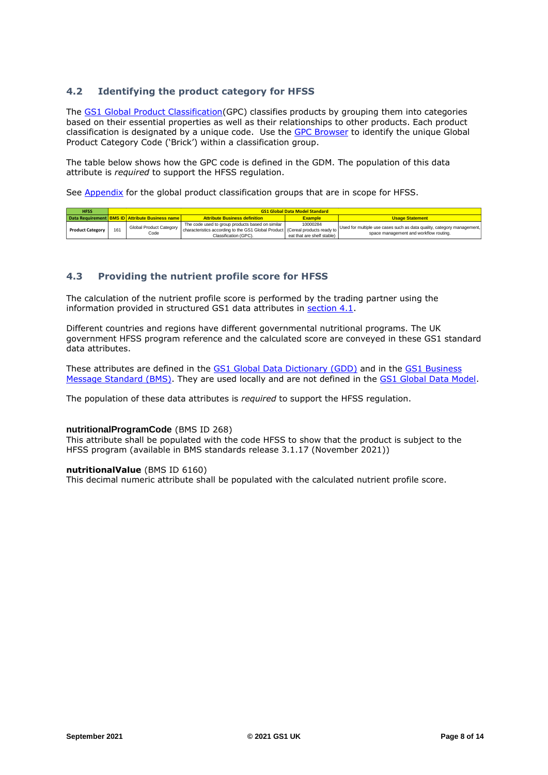## <span id="page-7-0"></span>**4.2 Identifying the product category for HFSS**

The [GS1 Global Product Classification\(](https://www.gs1.org/standards/gpc)GPC) classifies products by grouping them into categories based on their essential properties as well as their relationships to other products. Each product classification is designated by a unique code. Use the [GPC Browser](https://gpc-browser.gs1.org/) to identify the unique Global Product Category Code ('Brick') within a classification group.

The table below shows how the GPC code is defined in the GDM. The population of this data attribute is *required* to support the HFSS regulation.

See [Appendix](#page-9-1) for the global product classification groups that are in scope for HFSS.

| <b>HFSS</b>             | <b>GS1 Global Data Model Standard</b> |                                                        |                                                                                                                                                            |                                        |                                                                                                                  |
|-------------------------|---------------------------------------|--------------------------------------------------------|------------------------------------------------------------------------------------------------------------------------------------------------------------|----------------------------------------|------------------------------------------------------------------------------------------------------------------|
|                         |                                       | Data Requirement <b>BMS ID</b> Attribute Business name | <b>Attribute Business definition</b>                                                                                                                       | <b>Example</b>                         | <b>Usage Statement</b>                                                                                           |
| <b>Product Category</b> | 161                                   | Global Product Category<br>Code                        | The code used to group products based on similar<br>characteristics according to the GS1 Global Product (Cereal products ready to<br>Classification (GPC). | 10000284<br>eat that are shelf stable) | Used for multiple use cases such as data quality, category management,<br>space management and workflow routing. |

## <span id="page-7-1"></span>**4.3 Providing the nutrient profile score for HFSS**

The calculation of the nutrient profile score is performed by the trading partner using the information provided in structured GS1 data attributes in [section 4.1.](#page-4-1)

Different countries and regions have different governmental nutritional programs. The UK government HFSS program reference and the calculated score are conveyed in these GS1 standard data attributes.

These attributes are defined in the [GS1 Global Data Dictionary \(GDD\)](http://apps.gs1.org/gdd/SitePages/Home.aspx) and in the [GS1 Business](https://www.gs1.org/docs/gdsn/3.1/BMS_GDSN_Trade_Item_Modules_r3p1p16_i1p25_April2021.pdf)  [Message Standard \(BMS\).](https://www.gs1.org/docs/gdsn/3.1/BMS_GDSN_Trade_Item_Modules_r3p1p16_i1p25_April2021.pdf) They are used locally and are not defined in the [GS1 Global Data Model.](https://www.gs1.org/docs/global-data-model/gs1_global_data_model_release_1.3.1.xlsx)

The population of these data attributes is *required* to support the HFSS regulation.

### **nutritionalProgramCode** (BMS ID 268)

This attribute shall be populated with the code HFSS to show that the product is subject to the HFSS program (available in BMS standards release 3.1.17 (November 2021))

### **nutritionalValue** (BMS ID 6160)

This decimal numeric attribute shall be populated with the calculated nutrient profile score.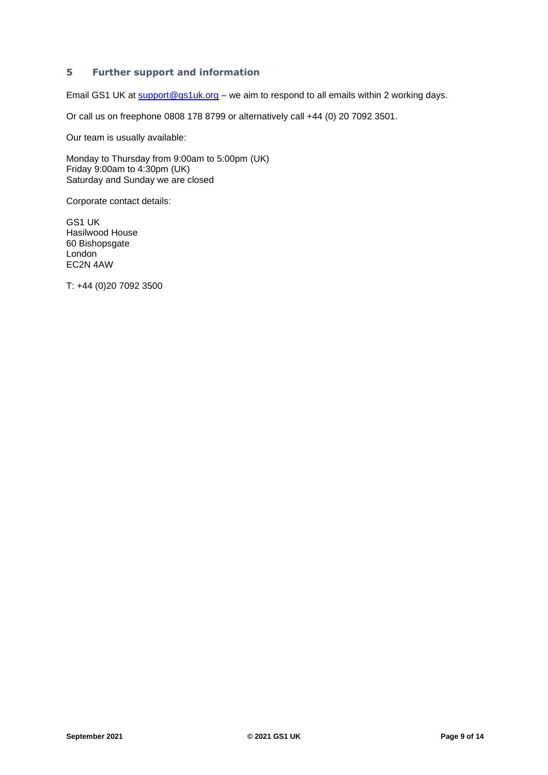## <span id="page-8-0"></span>**5 Further support and information**

Email GS1 UK at [support@gs1uk.org](mailto:support@gs1uk.org) - we aim to respond to all emails within 2 working days.

Or call us on freephone 0808 178 8799 or alternatively call +44 (0) 20 7092 3501.

Our team is usually available:

Monday to Thursday from 9:00am to 5:00pm (UK) Friday 9:00am to 4:30pm (UK) Saturday and Sunday we are closed

Corporate contact details:

GS1 UK Hasilwood House 60 Bishopsgate London EC2N 4AW

T: +44 (0)20 7092 3500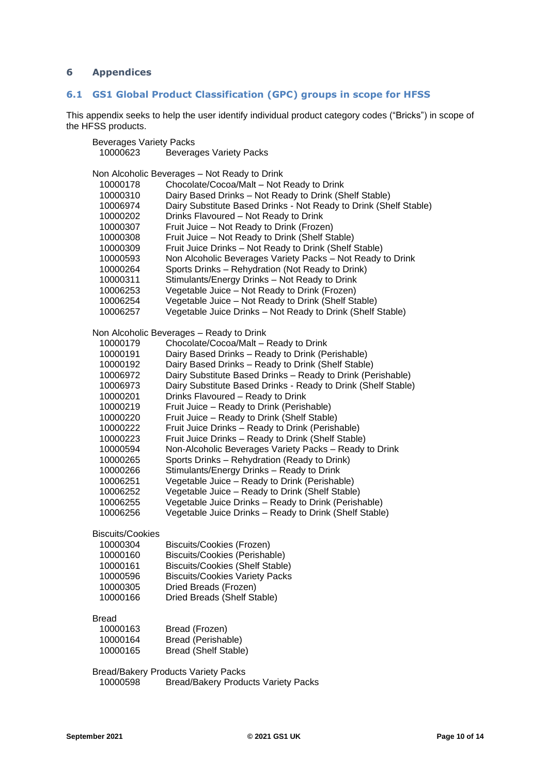## <span id="page-9-0"></span>**Appendices**

## <span id="page-9-1"></span>**6.1 GS1 Global Product Classification (GPC) groups in scope for HFSS**

This appendix seeks to help the user identify individual product category codes ("Bricks") in scope of the HFSS products.

| <b>Beverages Variety Packs</b> |                                                                                 |
|--------------------------------|---------------------------------------------------------------------------------|
| 10000623                       | <b>Beverages Variety Packs</b>                                                  |
|                                | Non Alcoholic Beverages - Not Ready to Drink                                    |
| 10000178                       | Chocolate/Cocoa/Malt - Not Ready to Drink                                       |
| 10000310                       | Dairy Based Drinks - Not Ready to Drink (Shelf Stable)                          |
| 10006974                       | Dairy Substitute Based Drinks - Not Ready to Drink (Shelf Stable)               |
| 10000202                       | Drinks Flavoured - Not Ready to Drink                                           |
| 10000307                       | Fruit Juice - Not Ready to Drink (Frozen)                                       |
| 10000308                       | Fruit Juice - Not Ready to Drink (Shelf Stable)                                 |
| 10000309                       | Fruit Juice Drinks - Not Ready to Drink (Shelf Stable)                          |
| 10000593                       | Non Alcoholic Beverages Variety Packs - Not Ready to Drink                      |
| 10000264                       | Sports Drinks - Rehydration (Not Ready to Drink)                                |
| 10000311                       | Stimulants/Energy Drinks - Not Ready to Drink                                   |
| 10006253                       | Vegetable Juice - Not Ready to Drink (Frozen)                                   |
| 10006254                       | Vegetable Juice - Not Ready to Drink (Shelf Stable)                             |
| 10006257                       | Vegetable Juice Drinks - Not Ready to Drink (Shelf Stable)                      |
|                                | Non Alcoholic Beverages - Ready to Drink                                        |
| 10000179                       | Chocolate/Cocoa/Malt - Ready to Drink                                           |
| 10000191                       | Dairy Based Drinks - Ready to Drink (Perishable)                                |
| 10000192                       | Dairy Based Drinks - Ready to Drink (Shelf Stable)                              |
| 10006972                       | Dairy Substitute Based Drinks - Ready to Drink (Perishable)                     |
| 10006973                       | Dairy Substitute Based Drinks - Ready to Drink (Shelf Stable)                   |
| 10000201                       | Drinks Flavoured - Ready to Drink                                               |
| 10000219                       | Fruit Juice - Ready to Drink (Perishable)                                       |
| 10000220                       | Fruit Juice - Ready to Drink (Shelf Stable)                                     |
| 10000222                       | Fruit Juice Drinks - Ready to Drink (Perishable)                                |
| 10000223                       | Fruit Juice Drinks - Ready to Drink (Shelf Stable)                              |
| 10000594                       | Non-Alcoholic Beverages Variety Packs - Ready to Drink                          |
| 10000265                       | Sports Drinks - Rehydration (Ready to Drink)                                    |
| 10000266                       | Stimulants/Energy Drinks - Ready to Drink                                       |
| 10006251                       | Vegetable Juice - Ready to Drink (Perishable)                                   |
| 10006252                       | Vegetable Juice - Ready to Drink (Shelf Stable)                                 |
| 10006255                       | Vegetable Juice Drinks - Ready to Drink (Perishable)                            |
| 10006256                       | Vegetable Juice Drinks - Ready to Drink (Shelf Stable)                          |
| <b>Biscuits/Cookies</b>        |                                                                                 |
| 10000304                       | Biscuits/Cookies (Frozen)<br><b>Biscuits/Cookies (Perishable)</b>               |
| 10000160                       |                                                                                 |
| 10000161<br>10000596           | <b>Biscuits/Cookies (Shelf Stable)</b><br><b>Biscuits/Cookies Variety Packs</b> |
| 10000305                       | Dried Breads (Frozen)                                                           |
| 10000166                       | Dried Breads (Shelf Stable)                                                     |
| Bread                          |                                                                                 |
| 10000163                       | Bread (Frozen)                                                                  |
| 10000164                       | Bread (Perishable)                                                              |
| 10000165                       | <b>Bread (Shelf Stable)</b>                                                     |
|                                | <b>Bread/Bakery Products Variety Packs</b>                                      |
| 10000598                       | <b>Bread/Bakery Products Variety Packs</b>                                      |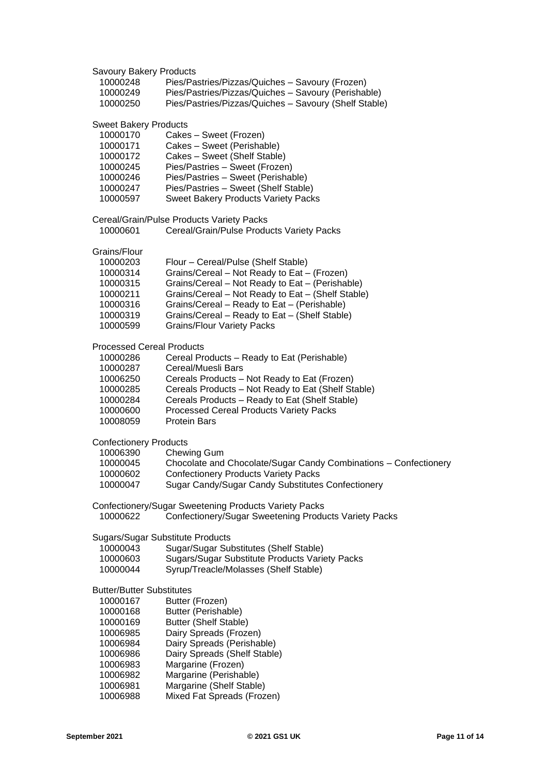Savoury Bakery Products Pies/Pastries/Pizzas/Quiches – Savoury (Frozen) Pies/Pastries/Pizzas/Quiches – Savoury (Perishable) Pies/Pastries/Pizzas/Quiches – Savoury (Shelf Stable) Sweet Bakery Products 10000170 Cakes – Sweet (Frozen)<br>10000171 Cakes – Sweet (Perishal Cakes – Sweet (Perishable) Cakes – Sweet (Shelf Stable) Pies/Pastries – Sweet (Frozen) Pies/Pastries – Sweet (Perishable) Pies/Pastries – Sweet (Shelf Stable) Sweet Bakery Products Variety Packs Cereal/Grain/Pulse Products Variety Packs Cereal/Grain/Pulse Products Variety Packs Grains/Flour Flour – Cereal/Pulse (Shelf Stable) Grains/Cereal – Not Ready to Eat – (Frozen) Grains/Cereal – Not Ready to Eat – (Perishable) Grains/Cereal – Not Ready to Eat – (Shelf Stable) Grains/Cereal – Ready to Eat – (Perishable) Grains/Cereal – Ready to Eat – (Shelf Stable) Grains/Flour Variety Packs Processed Cereal Products Cereal Products – Ready to Eat (Perishable) 10000287 Cereal/Muesli Bars<br>10006250 Cereals Products -Cereals Products – Not Ready to Eat (Frozen) Cereals Products – Not Ready to Eat (Shelf Stable) Cereals Products – Ready to Eat (Shelf Stable) Processed Cereal Products Variety Packs Protein Bars Confectionery Products Chewing Gum Chocolate and Chocolate/Sugar Candy Combinations – Confectionery Confectionery Products Variety Packs Sugar Candy/Sugar Candy Substitutes Confectionery Confectionery/Sugar Sweetening Products Variety Packs Confectionery/Sugar Sweetening Products Variety Packs Sugars/Sugar Substitute Products Sugar/Sugar Substitutes (Shelf Stable) Sugars/Sugar Substitute Products Variety Packs Syrup/Treacle/Molasses (Shelf Stable) Butter/Butter Substitutes Butter (Frozen) Butter (Perishable) Butter (Shelf Stable) Dairy Spreads (Frozen) Dairy Spreads (Perishable) Dairy Spreads (Shelf Stable) Margarine (Frozen) Margarine (Perishable) Margarine (Shelf Stable) Mixed Fat Spreads (Frozen)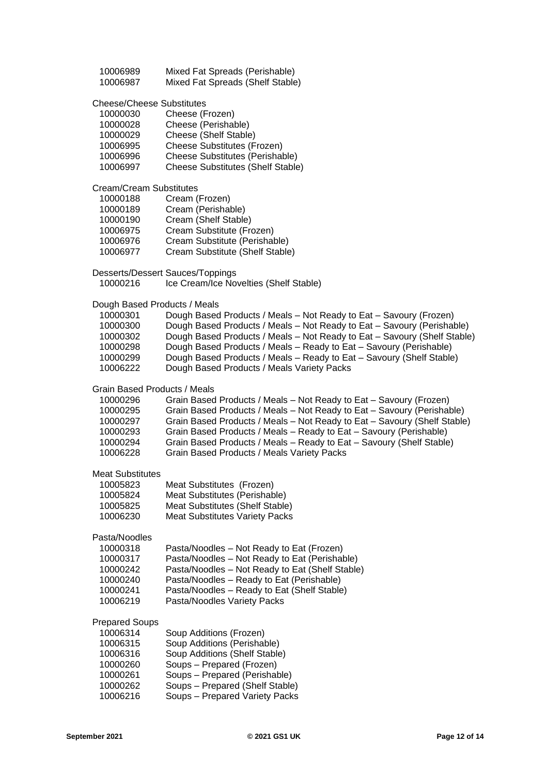| 10006989 | Mixed Fat Spreads (Perishable)   |  |
|----------|----------------------------------|--|
| 10006987 | Mixed Fat Spreads (Shelf Stable) |  |

Cheese/Cheese Substitutes

| 10000030 | Cheese (Frozen)                          |
|----------|------------------------------------------|
| 10000028 | Cheese (Perishable)                      |
| 10000029 | Cheese (Shelf Stable)                    |
| 10006995 | Cheese Substitutes (Frozen)              |
| 10006996 | <b>Cheese Substitutes (Perishable)</b>   |
| 10006997 | <b>Cheese Substitutes (Shelf Stable)</b> |
|          |                                          |

Cream/Cream Substitutes

| 10000188 | Cream (Frozen)                  |
|----------|---------------------------------|
| 10000189 | Cream (Perishable)              |
| 10000190 | Cream (Shelf Stable)            |
| 10006975 | Cream Substitute (Frozen)       |
| 10006976 | Cream Substitute (Perishable)   |
| 10006977 | Cream Substitute (Shelf Stable) |

Desserts/Dessert Sauces/Toppings

Ice Cream/Ice Novelties (Shelf Stable)

## Dough Based Products / Meals

| 10000301 | Dough Based Products / Meals - Not Ready to Eat - Savoury (Frozen)       |
|----------|--------------------------------------------------------------------------|
| 10000300 | Dough Based Products / Meals – Not Ready to Eat – Savoury (Perishable)   |
| 10000302 | Dough Based Products / Meals - Not Ready to Eat - Savoury (Shelf Stable) |
| 10000298 | Dough Based Products / Meals – Ready to Eat – Savoury (Perishable)       |
| 10000299 | Dough Based Products / Meals - Ready to Eat - Savoury (Shelf Stable)     |
| 10006222 | Dough Based Products / Meals Variety Packs                               |

## Grain Based Products / Meals

| 10000296 | Grain Based Products / Meals – Not Ready to Eat – Savoury (Frozen)       |
|----------|--------------------------------------------------------------------------|
| 10000295 | Grain Based Products / Meals - Not Ready to Eat - Savoury (Perishable)   |
| 10000297 | Grain Based Products / Meals - Not Ready to Eat - Savoury (Shelf Stable) |
| 10000293 | Grain Based Products / Meals - Ready to Eat - Savoury (Perishable)       |
| 10000294 | Grain Based Products / Meals - Ready to Eat - Savoury (Shelf Stable)     |
| 10006228 | Grain Based Products / Meals Variety Packs                               |

## Meat Substitutes

| 10005823 | Meat Substitutes (Frozen)             |
|----------|---------------------------------------|
| 10005824 | Meat Substitutes (Perishable)         |
| 10005825 | Meat Substitutes (Shelf Stable)       |
| 10006230 | <b>Meat Substitutes Variety Packs</b> |
|          |                                       |

## Pasta/Noodles

| 10000318 | Pasta/Noodles - Not Ready to Eat (Frozen)       |
|----------|-------------------------------------------------|
| 10000317 | Pasta/Noodles - Not Ready to Eat (Perishable)   |
| 10000242 | Pasta/Noodles - Not Ready to Eat (Shelf Stable) |
| 10000240 | Pasta/Noodles - Ready to Eat (Perishable)       |
| 10000241 | Pasta/Noodles - Ready to Eat (Shelf Stable)     |
| 10006219 | Pasta/Noodles Variety Packs                     |

## Prepared Soups

| 10006314 | Soup Additions (Frozen)         |
|----------|---------------------------------|
| 10006315 | Soup Additions (Perishable)     |
| 10006316 | Soup Additions (Shelf Stable)   |
| 10000260 | Soups - Prepared (Frozen)       |
| 10000261 | Soups - Prepared (Perishable)   |
| 10000262 | Soups - Prepared (Shelf Stable) |
| 10006216 | Soups - Prepared Variety Packs  |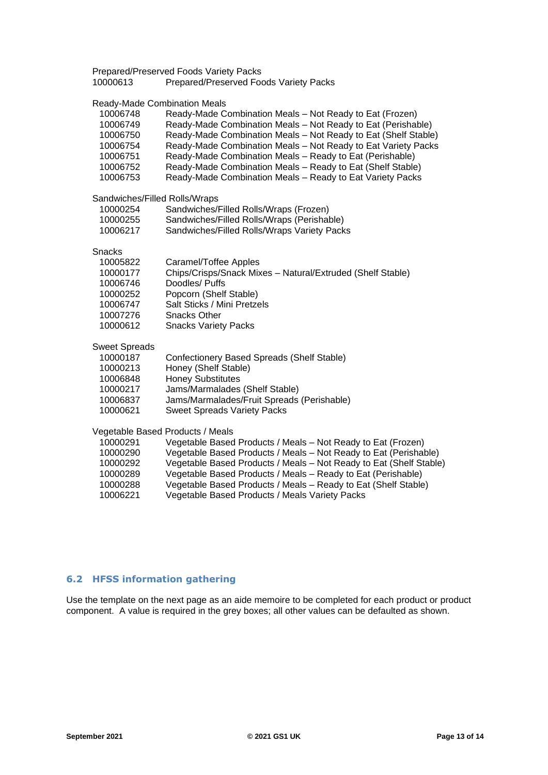Prepared/Preserved Foods Variety Packs

**Prepared/Preserved Foods Variety Packs** 

## Ready-Made Combination Meals

| 10006748<br>10006749<br>10006750<br>10006754<br>10006751<br>10006752<br>10006753                  | Ready-Made Combination Meals - Not Ready to Eat (Frozen)<br>Ready-Made Combination Meals - Not Ready to Eat (Perishable)<br>Ready-Made Combination Meals - Not Ready to Eat (Shelf Stable)<br>Ready-Made Combination Meals - Not Ready to Eat Variety Packs<br>Ready-Made Combination Meals - Ready to Eat (Perishable)<br>Ready-Made Combination Meals - Ready to Eat (Shelf Stable)<br>Ready-Made Combination Meals - Ready to Eat Variety Packs |
|---------------------------------------------------------------------------------------------------|----------------------------------------------------------------------------------------------------------------------------------------------------------------------------------------------------------------------------------------------------------------------------------------------------------------------------------------------------------------------------------------------------------------------------------------------------|
| Sandwiches/Filled Rolls/Wraps<br>10000254<br>10000255<br>10006217                                 | Sandwiches/Filled Rolls/Wraps (Frozen)<br>Sandwiches/Filled Rolls/Wraps (Perishable)<br>Sandwiches/Filled Rolls/Wraps Variety Packs                                                                                                                                                                                                                                                                                                                |
| <b>Snacks</b><br>10005822<br>10000177<br>10006746<br>10000252<br>10006747<br>10007276<br>10000612 | Caramel/Toffee Apples<br>Chips/Crisps/Snack Mixes - Natural/Extruded (Shelf Stable)<br>Doodles/ Puffs<br>Popcorn (Shelf Stable)<br>Salt Sticks / Mini Pretzels<br><b>Snacks Other</b><br><b>Snacks Variety Packs</b>                                                                                                                                                                                                                               |
| <b>Sweet Spreads</b><br>10000187<br>10000213<br>10006848<br>10000217<br>10006837<br>10000621      | Confectionery Based Spreads (Shelf Stable)<br>Honey (Shelf Stable)<br><b>Honey Substitutes</b><br>Jams/Marmalades (Shelf Stable)<br>Jams/Marmalades/Fruit Spreads (Perishable)<br><b>Sweet Spreads Variety Packs</b>                                                                                                                                                                                                                               |
| 10000291<br>10000290<br>10000292<br>10000289<br>10000288<br>10006221                              | Vegetable Based Products / Meals<br>Vegetable Based Products / Meals - Not Ready to Eat (Frozen)<br>Vegetable Based Products / Meals - Not Ready to Eat (Perishable)<br>Vegetable Based Products / Meals - Not Ready to Eat (Shelf Stable)<br>Vegetable Based Products / Meals - Ready to Eat (Perishable)<br>Vegetable Based Products / Meals - Ready to Eat (Shelf Stable)<br>Vegetable Based Products / Meals Variety Packs                     |

## <span id="page-12-0"></span>**6.2 HFSS information gathering**

Use the template on the next page as an aide memoire to be completed for each product or product component. A value is required in the grey boxes; all other values can be defaulted as shown.